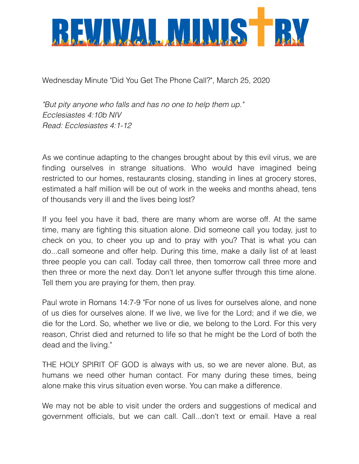

Wednesday Minute "Did You Get The Phone Call?", March 25, 2020

*"But pity anyone who falls and has no one to help them up." Ecclesiastes 4:10b NIV Read: Ecclesiastes 4:1-12* 

As we continue adapting to the changes brought about by this evil virus, we are finding ourselves in strange situations. Who would have imagined being restricted to our homes, restaurants closing, standing in lines at grocery stores, estimated a half million will be out of work in the weeks and months ahead, tens of thousands very ill and the lives being lost?

If you feel you have it bad, there are many whom are worse off. At the same time, many are fighting this situation alone. Did someone call you today, just to check on you, to cheer you up and to pray with you? That is what you can do...call someone and offer help. During this time, make a daily list of at least three people you can call. Today call three, then tomorrow call three more and then three or more the next day. Don't let anyone suffer through this time alone. Tell them you are praying for them, then pray.

Paul wrote in Romans 14:7-9 "For none of us lives for ourselves alone, and none of us dies for ourselves alone. If we live, we live for the Lord; and if we die, we die for the Lord. So, whether we live or die, we belong to the Lord. For this very reason, Christ died and returned to life so that he might be the Lord of both the dead and the living."

THE HOLY SPIRIT OF GOD is always with us, so we are never alone. But, as humans we need other human contact. For many during these times, being alone make this virus situation even worse. You can make a difference.

We may not be able to visit under the orders and suggestions of medical and government officials, but we can call. Call...don't text or email. Have a real